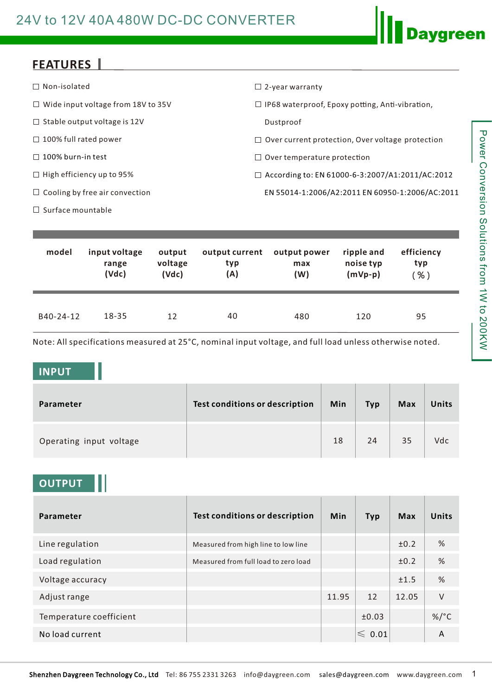# 24V to 12V 40A 480W DC-DC CONVERTER

## **FEATURES**

| $\Box$ Non-isolated                       | $\Box$ 2-year warranty                                  |
|-------------------------------------------|---------------------------------------------------------|
| $\Box$ Wide input voltage from 18V to 35V | $\Box$ IP68 waterproof, Epoxy potting, Anti-vibration,  |
| $\Box$ Stable output voltage is 12V       | Dustproof                                               |
| $\Box$ 100% full rated power              | $\Box$ Over current protection, Over voltage protection |
| $\Box$ 100% burn-in test                  | $\Box$ Over temperature protection                      |
| $\Box$ High efficiency up to 95%          | $\Box$ According to: EN 61000-6-3:2007/A1:2011/AC:2012  |
| $\Box$ Cooling by free air convection     | EN 55014-1:2006/A2:2011 EN 60950-1:2006/AC:2011         |
| $\Box$ Surface mountable                  |                                                         |

| model     | input voltage | output  | output current | output power | ripple and | efficiency |
|-----------|---------------|---------|----------------|--------------|------------|------------|
|           | range         | voltage | typ            | max          | noise typ  | typ        |
|           | (Vdc)         | (Vdc)   | (A)            | (W)          | $(mVp-p)$  | $\%$ )     |
| B40-24-12 | $18 - 35$     | 12      | 40             | 480          | 120        | 95         |

Note: All specifications measured at 25°C, nominal input voltage, and full load unless otherwise noted.

#### **INPUT**

| Parameter               | Test conditions or description | Min | <b>Typ</b> | <b>Max</b> | Units |
|-------------------------|--------------------------------|-----|------------|------------|-------|
| Operating input voltage |                                | 18  | 24         | 35         | Vdc   |

### **OUTPUT**

| Parameter               | <b>Test conditions or description</b> | <b>Min</b> | <b>Typ</b>       | Max   | <b>Units</b> |
|-------------------------|---------------------------------------|------------|------------------|-------|--------------|
| Line regulation         | Measured from high line to low line   |            |                  | ±0.2  | %            |
| Load regulation         | Measured from full load to zero load  |            |                  | ±0.2  | %            |
| Voltage accuracy        |                                       |            |                  | ±1.5  | %            |
| Adjust range            |                                       | 11.95      | 12               | 12.05 | $\vee$       |
| Temperature coefficient |                                       |            | ±0.03            |       | $\%$ /°C     |
| No load current         |                                       |            | $\leqslant$ 0.01 |       | A            |

**Daygreen**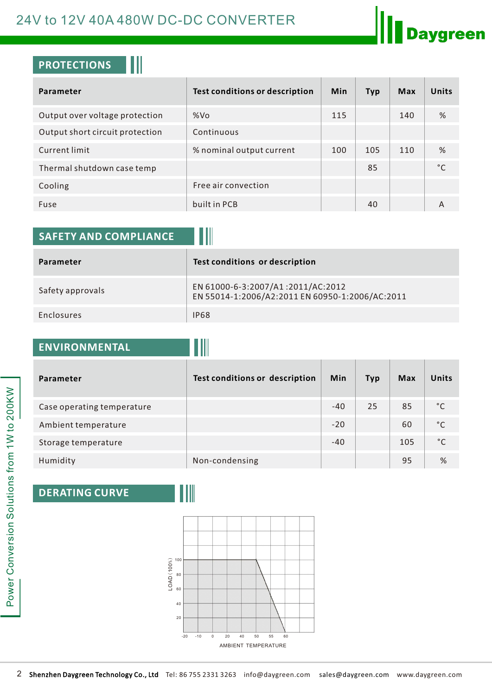# 24V to 12V 40A 480W DC-DC CONVERTER

## **PROTECTIONS**

| Parameter                       | <b>Test conditions or description</b> | <b>Min</b> | <b>Typ</b> | <b>Max</b> | <b>Units</b> |
|---------------------------------|---------------------------------------|------------|------------|------------|--------------|
| Output over voltage protection  | %Vo                                   | 115        |            | 140        | %            |
| Output short circuit protection | Continuous                            |            |            |            |              |
| Current limit                   | % nominal output current              | 100        | 105        | 110        | %            |
| Thermal shutdown case temp      |                                       |            | 85         |            | °C           |
| Cooling                         | Free air convection                   |            |            |            |              |
| Fuse                            | built in PCB                          |            | 40         |            | А            |

| <b>SAFETY AND COMPLIANCE</b> |                                                                                      |
|------------------------------|--------------------------------------------------------------------------------------|
| Parameter                    | Test conditions or description                                                       |
| Safety approvals             | EN 61000-6-3:2007/A1:2011/AC:2012<br>EN 55014-1:2006/A2:2011 EN 60950-1:2006/AC:2011 |
| Enclosures                   | <b>IP68</b>                                                                          |

| <b>ENVIRONMENTAL</b> |  |
|----------------------|--|
|                      |  |
|                      |  |

| Parameter                  | Test conditions or description | Min   | <b>Typ</b> | <b>Max</b> | <b>Units</b> |
|----------------------------|--------------------------------|-------|------------|------------|--------------|
| Case operating temperature |                                | $-40$ | 25         | 85         | °C           |
| Ambient temperature        |                                | $-20$ |            | 60         | $^{\circ}$ C |
| Storage temperature        |                                | $-40$ |            | 105        | °C           |
| Humidity                   | Non-condensing                 |       |            | 95         | %            |

11

### **DERATING CURVE**